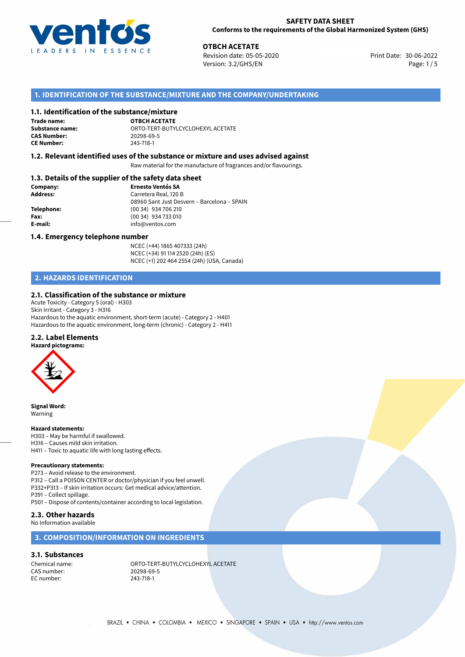

30-06-2022 **OTBCH ACETATE** Revision date: 05-05-2020 Print Date: Version: 3.2/GHS/EN Page: 1/5

# **1. IDENTIFICATION OF THE SUBSTANCE/MIXTURE AND THE COMPANY/UNDERTAKING**

# **1.1. Identification of the substance/mixture**

**Trade name: CAS Number: CE Number:** 243-718-1

**OTBCH ACETATE Substance name:** ORTO-TERT-BUTYLCYCLOHEXYL ACETATE

# **1.2. Relevant identified uses of the substance or mixture and uses advised against**

Raw material for the manufacture of fragrances and/or flavourings.

# **1.3. Details of the supplier of the safety data sheet**

| Company:   | <b>Ernesto Ventós SA</b>                    |  |
|------------|---------------------------------------------|--|
| Address:   | Carretera Real, 120 B                       |  |
|            | 08960 Sant Just Desvern - Barcelona - SPAIN |  |
| Telephone: | (00 34) 934 706 210                         |  |
| Fax:       | (00 34) 934 733 010                         |  |
| E-mail:    | info@ventos.com                             |  |
|            |                                             |  |

### **1.4. Emergency telephone number**

NCEC (+44) 1865 407333 (24h) NCEC (+34) 91 114 2520 (24h) (ES) NCEC (+1) 202 464 2554 (24h) (USA, Canada)

# **2. HAZARDS IDENTIFICATION**

### **2.1. Classification of the substance or mixture**

Acute Toxicity - Category 5 (oral) - H303 Skin Irritant - Category 3 - H316 Hazardous to the aquatic environment, short-term (acute) - Category 2 - H401 Hazardous to the aquatic environment, long-term (chronic) - Category 2 - H411

## **2.2. Label Elements**

### **Hazard pictograms:**



**Signal Word:** Warning

### **Hazard statements:**

H303 – May be harmful if swallowed. H316 – Causes mild skin irritation.

H411 – Toxic to aquatic life with long lasting effects.

### **Precautionary statements:**

P273 – Avoid release to the environment. P312 – Call a POISON CENTER or doctor/physician if you feel unwell. P332+P313 – If skin irritation occurs: Get medical advice/attention.

P391 – Collect spillage.

P501 – Dispose of contents/container according to local legislation.

# **2.3. Other hazards**

No Information available

# **3. COMPOSITION/INFORMATION ON INGREDIENTS**

### **3.1. Substances**

CAS number: 20298-69<br>EC number: 243-718-1 EC number:

Chemical name: CHEMIC ORTO-TERT-BUTYLCYCLOHEXYL ACETATE<br>
CAS number: 20298-69-5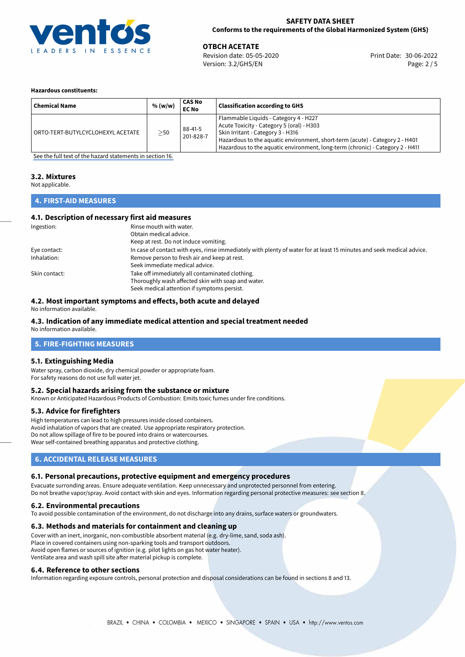

30-06-2022 **OTBCH ACETATE** Revision date: 05-05-2020 Print Date: Version: 3.2/GHS/EN Page: 2 / 5

### **Hazardous constituents:**

| <b>Chemical Name</b>              | % (w/w)   | CAS No<br><b>EC No</b> | <b>Classification according to GHS</b>                                                                                                                                                                                                                                                   |
|-----------------------------------|-----------|------------------------|------------------------------------------------------------------------------------------------------------------------------------------------------------------------------------------------------------------------------------------------------------------------------------------|
| ORTO-TERT-BUTYLCYCLOHEXYL ACETATE | $\geq$ 50 | 88-41-5<br>201-828-7   | Flammable Liquids - Category 4 - H227<br>Acute Toxicity - Category 5 (oral) - H303<br>Skin Irritant - Category 3 - H316<br>Hazardous to the aquatic environment, short-term (acute) - Category 2 - H401<br>Hazardous to the aquatic environment, long-term (chronic) - Category 2 - H411 |

[See the full text of the hazard statements in section 16.](#page-4-0)

### **3.2. Mixtures**

Not applicable.

# **4. FIRST-AID MEASURES**

# **4.1. Description of necessary first aid measures**

| Ingestion:    | Rinse mouth with water.                                                                                               |
|---------------|-----------------------------------------------------------------------------------------------------------------------|
|               | Obtain medical advice.                                                                                                |
|               | Keep at rest. Do not induce vomiting.                                                                                 |
| Eye contact:  | In case of contact with eyes, rinse immediately with plenty of water for at least 15 minutes and seek medical advice. |
| Inhalation:   | Remove person to fresh air and keep at rest.                                                                          |
|               | Seek immediate medical advice.                                                                                        |
| Skin contact: | Take off immediately all contaminated clothing.                                                                       |
|               | Thoroughly wash affected skin with soap and water.                                                                    |
|               | Seek medical attention if symptoms persist.                                                                           |

# **4.2. Most important symptoms and effects, both acute and delayed**

No information available.

# **4.3. Indication of any immediate medical attention and special treatment needed**

No information available.

# **5. FIRE-FIGHTING MEASURES**

# **5.1. Extinguishing Media**

Water spray, carbon dioxide, dry chemical powder or appropriate foam. For safety reasons do not use full water jet.

# **5.2. Special hazards arising from the substance or mixture**

Known or Anticipated Hazardous Products of Combustion: Emits toxic fumes under fire conditions.

# **5.3. Advice for firefighters**

High temperatures can lead to high pressures inside closed containers. Avoid inhalation of vapors that are created. Use appropriate respiratory protection. Do not allow spillage of fire to be poured into drains or watercourses. Wear self-contained breathing apparatus and protective clothing.

# **6. ACCIDENTAL RELEASE MEASURES**

# **6.1. Personal precautions, protective equipment and emergency procedures**

Evacuate surronding areas. Ensure adequate ventilation. Keep unnecessary and unprotected personnel from entering. Do not breathe vapor/spray. Avoid contact with skin and eyes. Information regarding personal protective measures: see section 8.

# **6.2. Environmental precautions**

To avoid possible contamination of the environment, do not discharge into any drains, surface waters or groundwaters.

# **6.3. Methods and materials for containment and cleaning up**

Cover with an inert, inorganic, non-combustible absorbent material (e.g. dry-lime, sand, soda ash). Place in covered containers using non-sparking tools and transport outdoors. Avoid open flames or sources of ignition (e.g. pilot lights on gas hot water heater). Ventilate area and wash spill site after material pickup is complete.

# **6.4. Reference to other sections**

Information regarding exposure controls, personal protection and disposal considerations can be found in sections 8 and 13.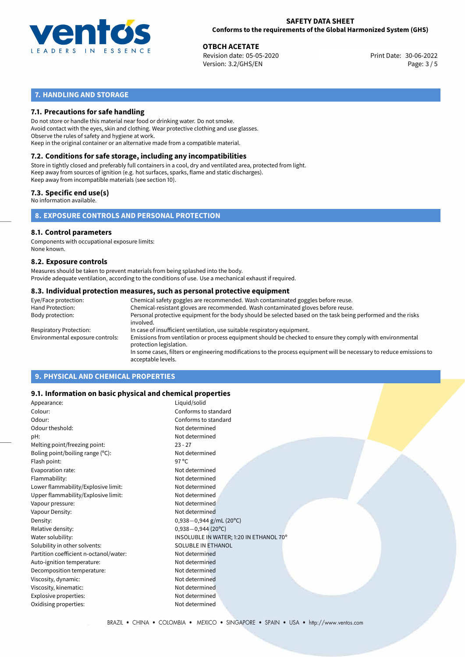

30-06-2022 **OTBCH ACETATE** Revision date: 05-05-2020 Print Date: Version: 3.2/GHS/EN Page: 3 / 5

# **7. HANDLING AND STORAGE**

# **7.1. Precautions for safe handling**

Do not store or handle this material near food or drinking water. Do not smoke. Avoid contact with the eyes, skin and clothing. Wear protective clothing and use glasses. Observe the rules of safety and hygiene at work. Keep in the original container or an alternative made from a compatible material.

# **7.2. Conditions for safe storage, including any incompatibilities**

Store in tightly closed and preferably full containers in a cool, dry and ventilated area, protected from light. Keep away from sources of ignition (e.g. hot surfaces, sparks, flame and static discharges). Keep away from incompatible materials (see section 10).

# **7.3. Specific end use(s)**

No information available.

**8. EXPOSURE CONTROLS AND PERSONAL PROTECTION**

# **8.1. Control parameters**

Components with occupational exposure limits: None known.

### **8.2. Exposure controls**

Measures should be taken to prevent materials from being splashed into the body. Provide adequate ventilation, according to the conditions of use. Use a mechanical exhaust if required.

### **8.3. Individual protection measures, such as personal protective equipment**

| Eye/Face protection:             | Chemical safety goggles are recommended. Wash contaminated goggles before reuse.                                                            |  |  |  |
|----------------------------------|---------------------------------------------------------------------------------------------------------------------------------------------|--|--|--|
| Hand Protection:                 | Chemical-resistant gloves are recommended. Wash contaminated gloves before reuse.                                                           |  |  |  |
| Body protection:                 | Personal protective equipment for the body should be selected based on the task being performed and the risks<br>involved.                  |  |  |  |
| Respiratory Protection:          | In case of insufficient ventilation, use suitable respiratory equipment.                                                                    |  |  |  |
| Environmental exposure controls: | Emissions from ventilation or process equipment should be checked to ensure they comply with environmental<br>protection legislation.       |  |  |  |
|                                  | In some cases, filters or engineering modifications to the process equipment will be necessary to reduce emissions to<br>acceptable levels. |  |  |  |
|                                  |                                                                                                                                             |  |  |  |

# **9. PHYSICAL AND CHEMICAL PROPERTIES**

# **9.1. Information on basic physical and chemical properties**

| Appearance:                            | Liquid/solid                            |
|----------------------------------------|-----------------------------------------|
| Colour:                                | Conforms to standard                    |
| Odour:                                 | Conforms to standard                    |
| Odour theshold:                        | Not determined                          |
| pH:                                    | Not determined                          |
| Melting point/freezing point:          | $23 - 27$                               |
| Boling point/boiling range (°C):       | Not determined                          |
| Flash point:                           | 97 $^{\circ}$ C                         |
| Evaporation rate:                      | Not determined                          |
| Flammability:                          | Not determined                          |
| Lower flammability/Explosive limit:    | Not determined                          |
| Upper flammability/Explosive limit:    | Not determined                          |
| Vapour pressure:                       | Not determined                          |
| Vapour Density:                        | Not determined                          |
| Density:                               | $0,938-0,944$ g/mL (20°C)               |
| Relative density:                      | $0,938 - 0,944$ (20°C)                  |
| Water solubility:                      | INSOLUBLE IN WATER; 1:20 IN ETHANOL 70° |
| Solubility in other solvents:          | SOLUBLE IN ETHANOL                      |
| Partition coefficient n-octanol/water: | Not determined                          |
| Auto-ignition temperature:             | Not determined                          |
| Decomposition temperature:             | Not determined                          |
| Viscosity, dynamic:                    | Not determined                          |
| Viscosity, kinematic:                  | Not determined                          |
| Explosive properties:                  | Not determined                          |
| Oxidising properties:                  | Not determined                          |
|                                        |                                         |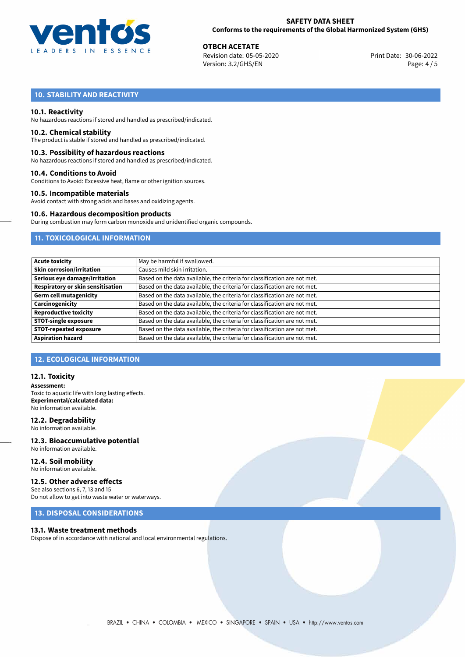

30-06-2022 **OTBCH ACETATE** Revision date: 05-05-2020 Print Date: Version: 3.2/GHS/EN Page: 4 / 5

# **10. STABILITY AND REACTIVITY**

## **10.1. Reactivity**

No hazardous reactions if stored and handled as prescribed/indicated.

### **10.2. Chemical stability**

The product is stable if stored and handled as prescribed/indicated.

### **10.3. Possibility of hazardous reactions**

No hazardous reactions if stored and handled as prescribed/indicated.

### **10.4. Conditions to Avoid**

Conditions to Avoid: Excessive heat, flame or other ignition sources.

### **10.5. Incompatible materials**

Avoid contact with strong acids and bases and oxidizing agents.

### **10.6. Hazardous decomposition products**

During combustion may form carbon monoxide and unidentified organic compounds.

# **11. TOXICOLOGICAL INFORMATION**

| <b>Acute toxicity</b>             | May be harmful if swallowed.                                              |
|-----------------------------------|---------------------------------------------------------------------------|
| <b>Skin corrosion/irritation</b>  | Causes mild skin irritation.                                              |
| Serious eye damage/irritation     | Based on the data available, the criteria for classification are not met. |
| Respiratory or skin sensitisation | Based on the data available, the criteria for classification are not met. |
| <b>Germ cell mutagenicity</b>     | Based on the data available, the criteria for classification are not met. |
| Carcinogenicity                   | Based on the data available, the criteria for classification are not met. |
| <b>Reproductive toxicity</b>      | Based on the data available, the criteria for classification are not met. |
| <b>STOT-single exposure</b>       | Based on the data available, the criteria for classification are not met. |
| <b>STOT-repeated exposure</b>     | Based on the data available, the criteria for classification are not met. |
| <b>Aspiration hazard</b>          | Based on the data available, the criteria for classification are not met. |

# **12. ECOLOGICAL INFORMATION**

## **12.1. Toxicity**

**Assessment:** Toxic to aquatic life with long lasting effects. **Experimental/calculated data:** No information available.

# **12.2. Degradability**

No information available.

### **12.3. Bioaccumulative potential** No information available.

**12.4. Soil mobility** No information available.

# **12.5. Other adverse effects**

See also sections 6, 7, 13 and 15 Do not allow to get into waste water or waterways.

# **13. DISPOSAL CONSIDERATIONS**

### **13.1. Waste treatment methods**

Dispose of in accordance with national and local environmental regulations.